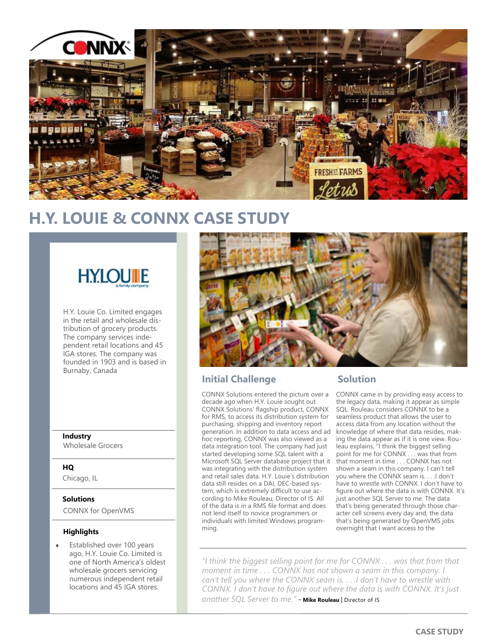

# **H.Y. LOUIE & CONNX CASE STUDY**



H.Y. Louie Co. Limited engages in the retail and wholesale distribution of grocery products. The company services independent retail locations and 45 IGA stores. The company was founded in 1903 and is based in Burnaby, Canada

### **Industry**

Wholesale Grocers

### **HQ**

Chicago, IL

### **Solutions**

CONNX for OpenVMS

#### **Highlights**

 Established over 100 years ago, H.Y. Louie Co. Limited is one of North America's oldest wholesale grocers servicing numerous independent retail locations and 45 IGA stores.



### **Initial Challenge Solution**

CONNX Solutions entered the picture over a decade ago when H.Y. Louie sought out CONNX Solutions' flagship product, CONNX for RMS, to access its distribution system for purchasing, shipping and inventory report generation. In addition to data access and ad hoc reporting, CONNX was also viewed as a data integration tool. The company had just started developing some SQL talent with a Microsoft SQL Server database project that it was integrating with the distribution system and retail sales data. H.Y. Louie's distribution data still resides on a DAI, DEC-based system, which is extremely difficult to use according to Mike Rouleau, Director of IS. All of the data is in a RMS file format and does not lend itself to novice programmers or individuals with limited Windows programming.

CONNX came in by providing easy access to the legacy data, making it appear as simple SQL. Rouleau considers CONNX to be a seamless product that allows the user to access data from any location without the knowledge of where that data resides, making the data appear as if it is one view. Rouleau explains, "I think the biggest selling point for me for CONNX . . . was that from that moment in time . . . CONNX has not shown a seam in this company. I can't tell you where the CONNX seam is. . . .I don't have to wrestle with CONNX. I don't have to figure out where the data is with CONNX. It's just another SQL Server to me. The data that's being generated through those character cell screens every day and, the data that's being generated by OpenVMS jobs overnight that I want access to the

*"I think the biggest selling point for me for CONNX . . . was that from that moment in time . . . CONNX has not shown a seam in this company. I can't tell you where the CONNX seam is. . . .I don't have to wrestle with CONNX. I don't have to figure out where the data is with CONNX. It's just*  another SQL Server to me." - Mike Rouleau | Director of IS